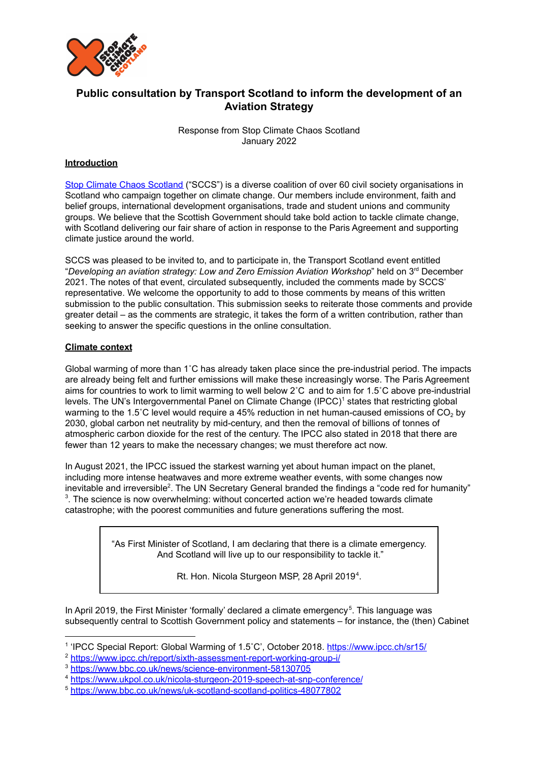

# **Public consultation by Transport Scotland to inform the development of an Aviation Strategy**

Response from Stop Climate Chaos Scotland January 2022

### **Introduction**

Stop Climate Chaos [Scotland](https://www.stopclimatechaos.scot/) ("SCCS") is a diverse coalition of over 60 civil society organisations in Scotland who campaign together on climate change. Our members include environment, faith and belief groups, international development organisations, trade and student unions and community groups. We believe that the Scottish Government should take bold action to tackle climate change, with Scotland delivering our fair share of action in response to the Paris Agreement and supporting climate justice around the world.

SCCS was pleased to be invited to, and to participate in, the Transport Scotland event entitled "*Developing an aviation strategy: Low and Zero Emission Aviation Workshop*" held on 3 rd December 2021. The notes of that event, circulated subsequently, included the comments made by SCCS' representative. We welcome the opportunity to add to those comments by means of this written submission to the public consultation. This submission seeks to reiterate those comments and provide greater detail – as the comments are strategic, it takes the form of a written contribution, rather than seeking to answer the specific questions in the online consultation.

#### **Climate context**

Global warming of more than 1˚C has already taken place since the pre-industrial period. The impacts are already being felt and further emissions will make these increasingly worse. The Paris Agreement aims for countries to work to limit warming to well below 2˚C and to aim for 1.5˚C above pre-industrial levels. The UN's Intergovernmental Panel on Climate Change (IPCC)<sup>1</sup> states that restricting global warming to the 1.5°C level would require a 45% reduction in net human-caused emissions of  $CO<sub>2</sub>$  by 2030, global carbon net neutrality by mid-century, and then the removal of billions of tonnes of atmospheric carbon dioxide for the rest of the century. The IPCC also stated in 2018 that there are fewer than 12 years to make the necessary changes; we must therefore act now.

In August 2021, the IPCC issued the starkest warning yet about human impact on the planet, including more intense heatwaves and more extreme weather events, with some changes now inevitable and irreversible<sup>2</sup>. The UN Secretary General branded the findings a "code red for humanity"  $3$ . The science is now overwhelming: without concerted action we're headed towards climate catastrophe; with the poorest communities and future generations suffering the most.

> "As First Minister of Scotland, I am declaring that there is a climate emergency. And Scotland will live up to our responsibility to tackle it."

> > Rt. Hon. Nicola Sturgeon MSP, 28 April 2019<sup>4</sup>.

In April 2019, the First Minister 'formally' declared a climate emergency<sup>5</sup>. This language was subsequently central to Scottish Government policy and statements – for instance, the (then) Cabinet

<sup>&</sup>lt;sup>1</sup> 'IPCC Special Report: Global Warming of 1.5°C', October 2018. <https://www.ipcc.ch/sr15/>

<sup>2</sup> <https://www.ipcc.ch/report/sixth-assessment-report-working-group-i/>

<sup>3</sup> <https://www.bbc.co.uk/news/science-environment-58130705>

<sup>4</sup> <https://www.ukpol.co.uk/nicola-sturgeon-2019-speech-at-snp-conference/>

<sup>5</sup> <https://www.bbc.co.uk/news/uk-scotland-scotland-politics-48077802>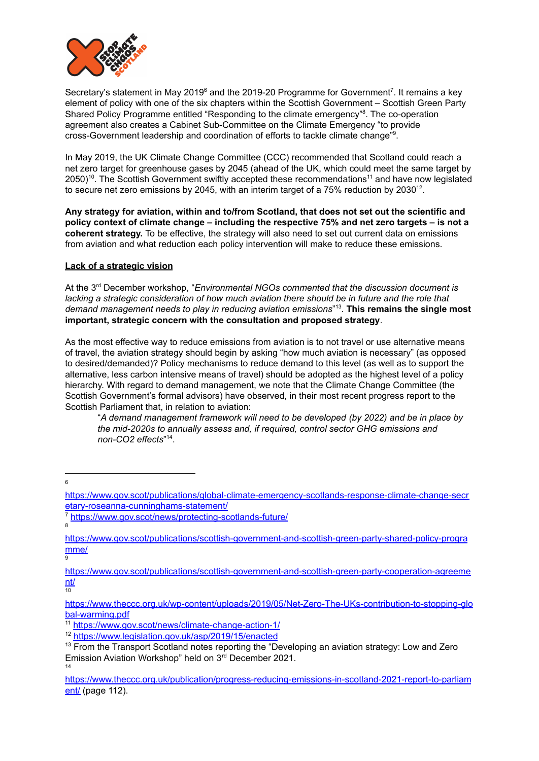

Secretary's statement in May 2019 $^6$  and the 2019-20 Programme for Government<sup>7</sup>. It remains a key element of policy with one of the six chapters within the Scottish Government – Scottish Green Party Shared Policy Programme entitled "Responding to the climate emergency"<sup>8</sup>. The co-operation agreement also creates a Cabinet Sub-Committee on the Climate Emergency "to provide cross-Government leadership and coordination of efforts to tackle climate change"<sup>9</sup>.

In May 2019, the UK Climate Change Committee (CCC) recommended that Scotland could reach a net zero target for greenhouse gases by 2045 (ahead of the UK, which could meet the same target by 2050)<sup>10</sup>. The Scottish Government swiftly accepted these recommendations<sup>11</sup> and have now legislated to secure net zero emissions by 2045, with an interim target of a 75% reduction by 2030<sup>12</sup>.

**Any strategy for aviation, within and to/from Scotland, that does not set out the scientific and policy context of climate change – including the respective 75% and net zero targets – is not a coherent strategy.** To be effective, the strategy will also need to set out current data on emissions from aviation and what reduction each policy intervention will make to reduce these emissions.

#### **Lack of a strategic vision**

At the 3 rd December workshop, "*Environmental NGOs commented that the discussion document is lacking a strategic consideration of how much aviation there should be in future and the role that demand management needs to play in reducing aviation emissions*" . **This remains the single most** 13 **important, strategic concern with the consultation and proposed strategy**.

As the most effective way to reduce emissions from aviation is to not travel or use alternative means of travel, the aviation strategy should begin by asking "how much aviation is necessary" (as opposed to desired/demanded)? Policy mechanisms to reduce demand to this level (as well as to support the alternative, less carbon intensive means of travel) should be adopted as the highest level of a policy hierarchy. With regard to demand management, we note that the Climate Change Committee (the Scottish Government's formal advisors) have observed, in their most recent progress report to the Scottish Parliament that, in relation to aviation:

"*A demand management framework will need to be developed (by 2022) and be in place by the mid-2020s to annually assess and, if required, control sector GHG emissions and non-CO2 effects*" . 14

6

9

[https://www.gov.scot/publications/global-climate-emergency-scotlands-response-climate-change-secr](https://www.gov.scot/publications/global-climate-emergency-scotlands-response-climate-change-secretary-roseanna-cunninghams-statement/) [etary-roseanna-cunninghams-statement/](https://www.gov.scot/publications/global-climate-emergency-scotlands-response-climate-change-secretary-roseanna-cunninghams-statement/)

<sup>8</sup> <https://www.gov.scot/news/protecting-scotlands-future/>

[https://www.gov.scot/publications/scottish-government-and-scottish-green-party-shared-policy-progra](https://www.gov.scot/publications/scottish-government-and-scottish-green-party-shared-policy-programme/) [mme/](https://www.gov.scot/publications/scottish-government-and-scottish-green-party-shared-policy-programme/)

[nt/](https://www.gov.scot/publications/scottish-government-and-scottish-green-party-cooperation-agreement/)<br>10 [https://www.gov.scot/publications/scottish-government-and-scottish-green-party-cooperation-agreeme](https://www.gov.scot/publications/scottish-government-and-scottish-green-party-cooperation-agreement/)

[https://www.theccc.org.uk/wp-content/uploads/2019/05/Net-Zero-The-UKs-contribution-to-stopping-glo](https://www.theccc.org.uk/wp-content/uploads/2019/05/Net-Zero-The-UKs-contribution-to-stopping-global-warming.pdf) [bal-warming.pdf](https://www.theccc.org.uk/wp-content/uploads/2019/05/Net-Zero-The-UKs-contribution-to-stopping-global-warming.pdf)

<sup>11</sup> <https://www.gov.scot/news/climate-change-action-1/>

<sup>12</sup> <https://www.legislation.gov.uk/asp/2019/15/enacted>

<sup>14</sup> <sup>13</sup> From the Transport Scotland notes reporting the "Developing an aviation strategy: Low and Zero Emission Aviation Workshop" held on 3<sup>rd</sup> December 2021.

[https://www.theccc.org.uk/publication/progress-reducing-emissions-in-scotland-2021-report-to-parliam](https://www.theccc.org.uk/publication/progress-reducing-emissions-in-scotland-2021-report-to-parliament/) [ent/](https://www.theccc.org.uk/publication/progress-reducing-emissions-in-scotland-2021-report-to-parliament/) (page 112).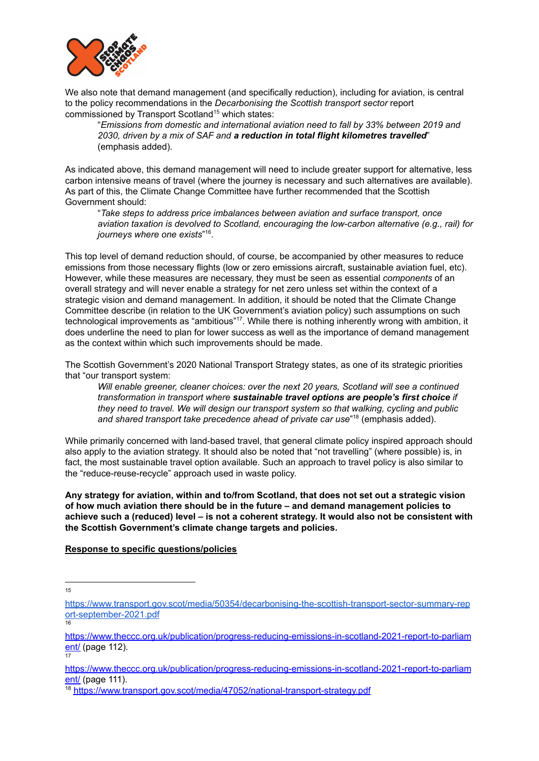

We also note that demand management (and specifically reduction), including for aviation, is central to the policy recommendations in the *Decarbonising the Scottish transport sector* report commissioned by Transport Scotland<sup>15</sup> which states:

"*Emissions from domestic and international aviation need to fall by 33% between 2019 and 2030, driven by a mix of SAF and a reduction in total flight kilometres travelled*" (emphasis added).

As indicated above, this demand management will need to include greater support for alternative, less carbon intensive means of travel (where the journey is necessary and such alternatives are available). As part of this, the Climate Change Committee have further recommended that the Scottish Government should:

"*Take steps to address price imbalances between aviation and surface transport, once aviation taxation is devolved to Scotland, encouraging the low-carbon alternative (e.g., rail) for journeys where one exists*" . 16

This top level of demand reduction should, of course, be accompanied by other measures to reduce emissions from those necessary flights (low or zero emissions aircraft, sustainable aviation fuel, etc). However, while these measures are necessary, they must be seen as essential *components* of an overall strategy and will never enable a strategy for net zero unless set within the context of a strategic vision and demand management. In addition, it should be noted that the Climate Change Committee describe (in relation to the UK Government's aviation policy) such assumptions on such technological improvements as "ambitious"<sup>17</sup>. While there is nothing inherently wrong with ambition, it does underline the need to plan for lower success as well as the importance of demand management as the context within which such improvements should be made.

The Scottish Government's 2020 National Transport Strategy states, as one of its strategic priorities that "our transport system:

*Will enable greener, cleaner choices: over the next 20 years, Scotland will see a continued transformation in transport where sustainable travel options are people's first choice if they need to travel. We will design our transport system so that walking, cycling and public and shared transport take precedence ahead of private car use*" (emphasis added). 18

While primarily concerned with land-based travel, that general climate policy inspired approach should also apply to the aviation strategy. It should also be noted that "not travelling" (where possible) is, in fact, the most sustainable travel option available. Such an approach to travel policy is also similar to the "reduce-reuse-recycle" approach used in waste policy.

**Any strategy for aviation, within and to/from Scotland, that does not set out a strategic vision of how much aviation there should be in the future – and demand management policies to achieve such a (reduced) level – is not a coherent strategy. It would also not be consistent with the Scottish Government's climate change targets and policies.**

#### **Response to specific questions/policies**

15

17

<sup>&</sup>lt;mark>[ort-september-2021.pdf](https://www.transport.gov.scot/media/50354/decarbonising-the-scottish-transport-sector-summary-report-september-2021.pdf)</mark><br>16 [https://www.transport.gov.scot/media/50354/decarbonising-the-scottish-transport-sector-summary-rep](https://www.transport.gov.scot/media/50354/decarbonising-the-scottish-transport-sector-summary-report-september-2021.pdf)

[https://www.theccc.org.uk/publication/progress-reducing-emissions-in-scotland-2021-report-to-parliam](https://www.theccc.org.uk/publication/progress-reducing-emissions-in-scotland-2021-report-to-parliament/) [ent/](https://www.theccc.org.uk/publication/progress-reducing-emissions-in-scotland-2021-report-to-parliament/) (page 112).

[https://www.theccc.org.uk/publication/progress-reducing-emissions-in-scotland-2021-report-to-parliam](https://www.theccc.org.uk/publication/progress-reducing-emissions-in-scotland-2021-report-to-parliament/) [ent/](https://www.theccc.org.uk/publication/progress-reducing-emissions-in-scotland-2021-report-to-parliament/) (page 111).

<sup>18</sup> <https://www.transport.gov.scot/media/47052/national-transport-strategy.pdf>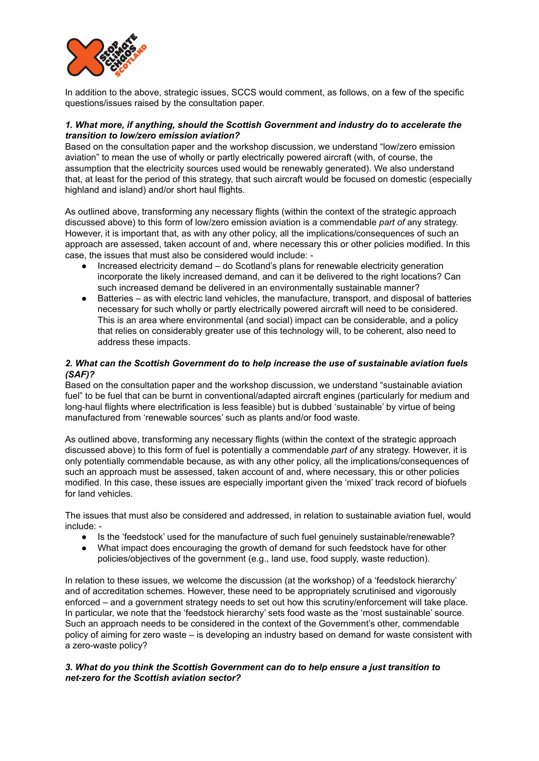

In addition to the above, strategic issues, SCCS would comment, as follows, on a few of the specific questions/issues raised by the consultation paper.

#### *1. What more, if anything, should the Scottish Government and industry do to accelerate the transition to low/zero emission aviation?*

Based on the consultation paper and the workshop discussion, we understand "low/zero emission aviation" to mean the use of wholly or partly electrically powered aircraft (with, of course, the assumption that the electricity sources used would be renewably generated). We also understand that, at least for the period of this strategy, that such aircraft would be focused on domestic (especially highland and island) and/or short haul flights.

As outlined above, transforming any necessary flights (within the context of the strategic approach discussed above) to this form of low/zero emission aviation is a commendable *part of* any strategy. However, it is important that, as with any other policy, all the implications/consequences of such an approach are assessed, taken account of and, where necessary this or other policies modified. In this case, the issues that must also be considered would include: -

- Increased electricity demand do Scotland's plans for renewable electricity generation incorporate the likely increased demand, and can it be delivered to the right locations? Can such increased demand be delivered in an environmentally sustainable manner?
- Batteries as with electric land vehicles, the manufacture, transport, and disposal of batteries necessary for such wholly or partly electrically powered aircraft will need to be considered. This is an area where environmental (and social) impact can be considerable, and a policy that relies on considerably greater use of this technology will, to be coherent, also need to address these impacts.

#### *2. What can the Scottish Government do to help increase the use of sustainable aviation fuels (SAF)?*

Based on the consultation paper and the workshop discussion, we understand "sustainable aviation fuel" to be fuel that can be burnt in conventional/adapted aircraft engines (particularly for medium and long-haul flights where electrification is less feasible) but is dubbed 'sustainable' by virtue of being manufactured from 'renewable sources' such as plants and/or food waste.

As outlined above, transforming any necessary flights (within the context of the strategic approach discussed above) to this form of fuel is potentially a commendable *part of* any strategy. However, it is only potentially commendable because, as with any other policy, all the implications/consequences of such an approach must be assessed, taken account of and, where necessary, this or other policies modified. In this case, these issues are especially important given the 'mixed' track record of biofuels for land vehicles.

The issues that must also be considered and addressed, in relation to sustainable aviation fuel, would include: -

- Is the 'feedstock' used for the manufacture of such fuel genuinely sustainable/renewable?
- What impact does encouraging the growth of demand for such feedstock have for other policies/objectives of the government (e.g., land use, food supply, waste reduction).

In relation to these issues, we welcome the discussion (at the workshop) of a 'feedstock hierarchy' and of accreditation schemes. However, these need to be appropriately scrutinised and vigorously enforced – and a government strategy needs to set out how this scrutiny/enforcement will take place. In particular, we note that the 'feedstock hierarchy' sets food waste as the 'most sustainable' source. Such an approach needs to be considered in the context of the Government's other, commendable policy of aiming for zero waste – is developing an industry based on demand for waste consistent with a zero-waste policy?

#### *3. What do you think the Scottish Government can do to help ensure a just transition to net-zero for the Scottish aviation sector?*